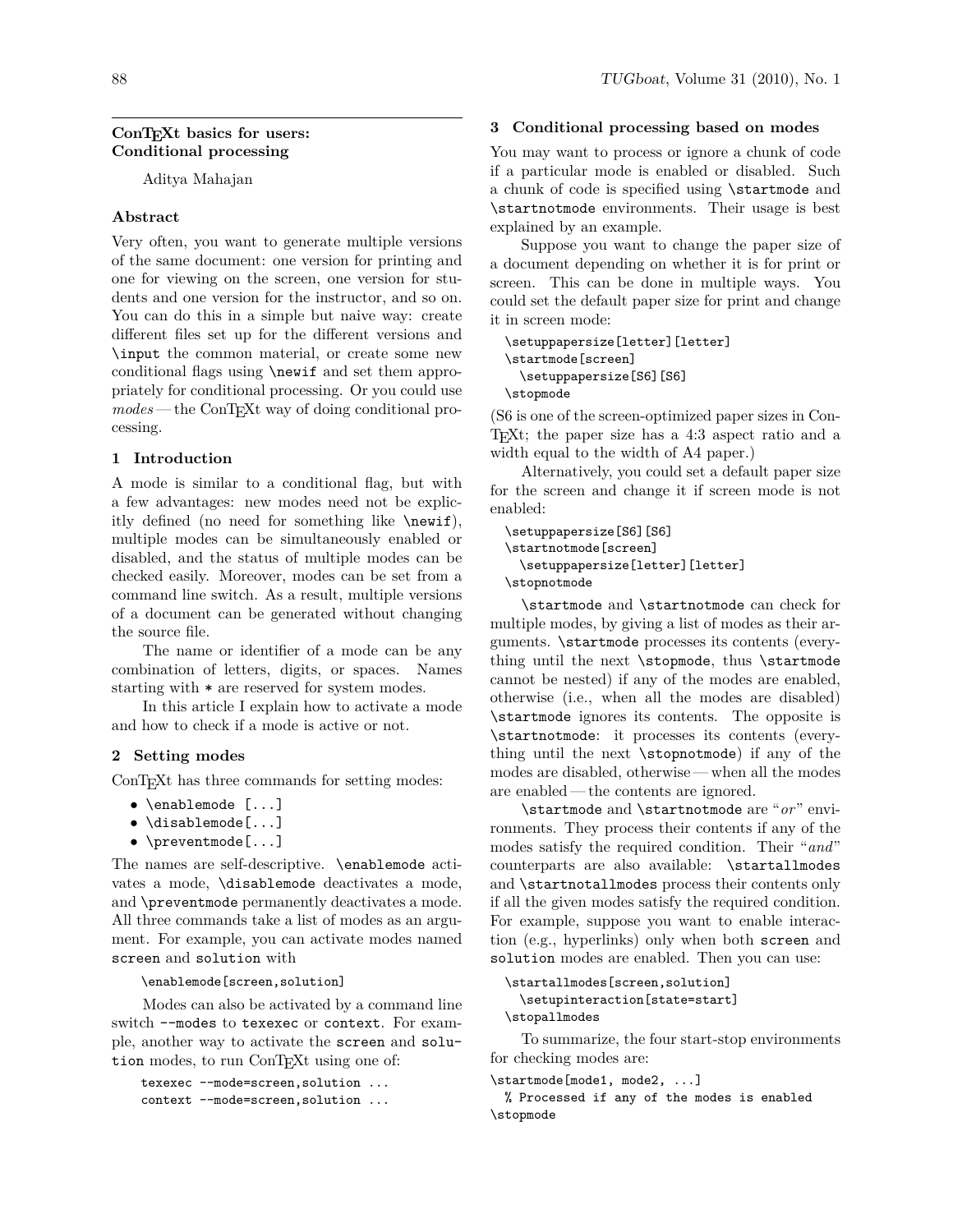# **ConTEXt basics for users: Conditional processing**

Aditya Mahajan

## **Abstract**

Very often, you want to generate multiple versions of the same document: one version for printing and one for viewing on the screen, one version for students and one version for the instructor, and so on. You can do this in a simple but naive way: create different files set up for the different versions and \input the common material, or create some new conditional flags using \newif and set them appropriately for conditional processing. Or you could use  $modes$  — the ConT<sub>E</sub>X<sub>t</sub> way of doing conditional processing.

## **1 Introduction**

A mode is similar to a conditional flag, but with a few advantages: new modes need not be explicitly defined (no need for something like \newif), multiple modes can be simultaneously enabled or disabled, and the status of multiple modes can be checked easily. Moreover, modes can be set from a command line switch. As a result, multiple versions of a document can be generated without changing the source file.

The name or identifier of a mode can be any combination of letters, digits, or spaces. Names starting with \* are reserved for system modes.

In this article I explain how to activate a mode and how to check if a mode is active or not.

## **2 Setting modes**

ConTEXt has three commands for setting modes:

- \enablemode [...]
- \disablemode[...]
- \preventmode[...]

The names are self-descriptive. \enablemode activates a mode, \disablemode deactivates a mode, and \preventmode permanently deactivates a mode. All three commands take a list of modes as an argument. For example, you can activate modes named screen and solution with

### \enablemode[screen,solution]

Modes can also be activated by a command line switch --modes to texexec or context. For example, another way to activate the screen and solution modes, to run ConTEXt using one of:

texexec --mode=screen,solution ... context --mode=screen,solution ...

### 88 TUGboat, Volume 31 (2010), No. 1

## **3 Conditional processing based on modes**

You may want to process or ignore a chunk of code if a particular mode is enabled or disabled. Such a chunk of code is specified using \startmode and \startnotmode environments. Their usage is best explained by an example.

Suppose you want to change the paper size of a document depending on whether it is for print or screen. This can be done in multiple ways. You could set the default paper size for print and change it in screen mode:

```
\setuppapersize[letter][letter]
\startmode[screen]
  \setuppapersize[S6][S6]
\stopmode
```
(S6 is one of the screen-optimized paper sizes in Con-TEXt; the paper size has a 4:3 aspect ratio and a width equal to the width of A4 paper.)

Alternatively, you could set a default paper size for the screen and change it if screen mode is not enabled:

```
\setuppapersize[S6][S6]
\startnotmode[screen]
  \setuppapersize[letter][letter]
\stopnotmode
```
\startmode and \startnotmode can check for multiple modes, by giving a list of modes as their arguments. \startmode processes its contents (everything until the next \stopmode, thus \startmode cannot be nested) if any of the modes are enabled, otherwise (i.e., when all the modes are disabled) \startmode ignores its contents. The opposite is \startnotmode: it processes its contents (everything until the next \stopnotmode) if any of the modes are disabled, otherwise — when all the modes are enabled — the contents are ignored.

\startmode and \startnotmode are "*or*" environments. They process their contents if any of the modes satisfy the required condition. Their "*and*" counterparts are also available: \startallmodes and \startnotallmodes process their contents only if all the given modes satisfy the required condition. For example, suppose you want to enable interaction (e.g., hyperlinks) only when both screen and solution modes are enabled. Then you can use:

```
\startallmodes[screen,solution]
 \setupinteraction[state=start]
\stopallmodes
```
To summarize, the four start-stop environments for checking modes are:

```
\startmode[mode1, mode2, ...]
```
% Processed if any of the modes is enabled \stopmode